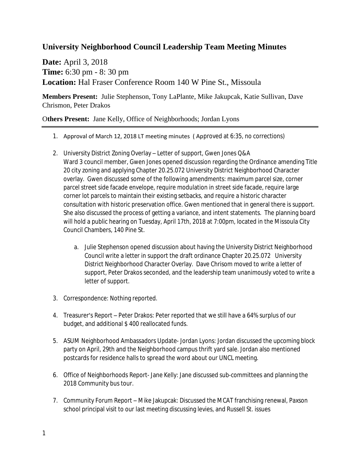## **University Neighborhood Council Leadership Team Meeting Minutes**

**Date:** April 3, 2018 **Time:** 6:30 pm - 8: 30 pm **Location:** Hal Fraser Conference Room 140 W Pine St., Missoula

**Members Present:** Julie Stephenson, Tony LaPlante, Mike Jakupcak, Katie Sullivan, Dave Chrismon, Peter Drakos

## O**thers Present:** Jane Kelly, Office of Neighborhoods; Jordan Lyons

- 1. Approval of March 12, 2018 LT meeting minutes ( Approved at 6:35, no corrections)
- 2. University District Zoning Overlay Letter of support, Gwen Jones Q&A Ward 3 council member, Gwen Jones opened discussion regarding the Ordinance amending Title 20 city zoning and applying Chapter 20.25.072 University District Neighborhood Character overlay. Gwen discussed some of the following amendments: maximum parcel size, corner parcel street side facade envelope, require modulation in street side facade, require large corner lot parcels to maintain their existing setbacks, and require a historic character consultation with historic preservation office. Gwen mentioned that in general there is support. She also discussed the process of getting a variance, and intent statements. The planning board will hold a public hearing on Tuesday, April 17th, 2018 at 7:00pm, located in the Missoula City Council Chambers, 140 Pine St.
	- a. Julie Stephenson opened discussion about having the University District Neighborhood Council write a letter in support the draft ordinance Chapter 20.25.072 University District Neighborhood Character Overlay. Dave Chrisom moved to write a letter of support, Peter Drakos seconded, and the leadership team unanimously voted to write a letter of support.
- 3. Correspondence: Nothing reported.
- 4. Treasurer's Report Peter Drakos: Peter reported that we still have a 64% surplus of our budget, and additional \$ 400 reallocated funds.
- 5. ASUM Neighborhood Ambassadors Update- Jordan Lyons: Jordan discussed the upcoming block party on April, 29th and the Neighborhood campus thrift yard sale. Jordan also mentioned postcards for residence halls to spread the word about our UNCL meeting.
- 6. Office of Neighborhoods Report- Jane Kelly: Jane discussed sub-committees and planning the 2018 Community bus tour.
- 7. Community Forum Report Mike Jakupcak: Discussed the MCAT franchising renewal, Paxson school principal visit to our last meeting discussing levies, and Russell St. issues